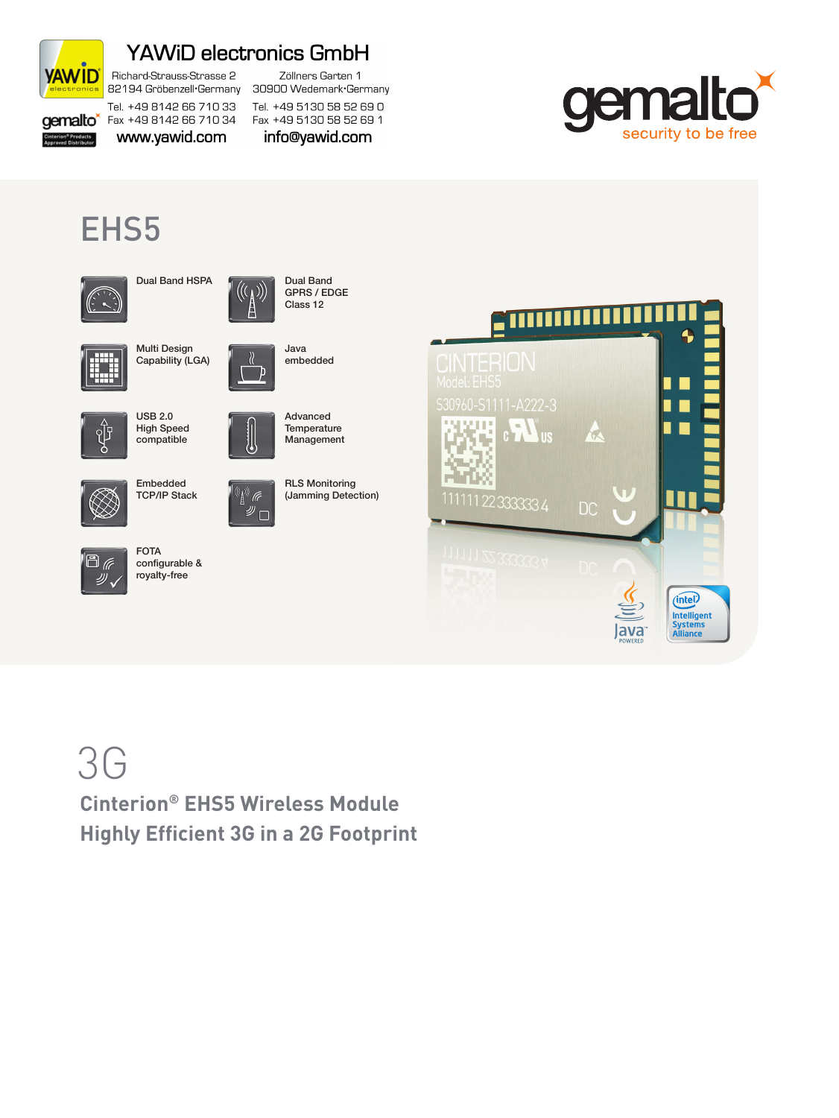

### **YAWiD electronics GmbH**

Richard-Strauss-Strasse 2 82194 Gröbenzell-Germany Tel. +49 8142 66 710 33

**gemalto** Fax +49 8142 66 710 34

Fax +49 5130 58 52 69 1 www.yawid.com info@yawid.com



## EHS5





Dual Band GPRS / EDGE Class 12

Zöllners Garten 1

30900 Wedemark Germany

Tel. +49 5130 58 52 69 0

Java embedded

Advanced **Temperature** Management



Multi Design Capability (LGA)



USB 2.0 High Speed compatible



少、

Embedded TCP/IP Stack

FOTA configurable & royalty-free



(F





# 3G

**Cinterion® EHS5 Wireless Module Highly Efficient 3G in a 2G Footprint**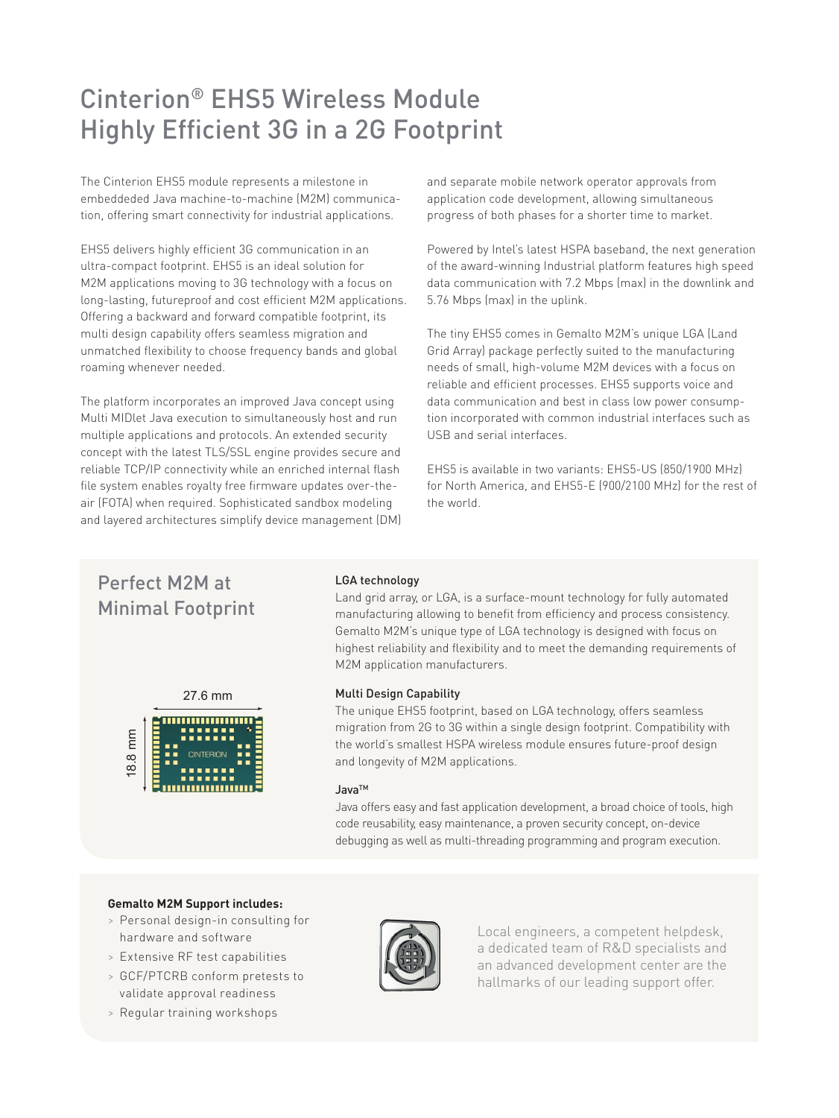### Cinterion® EHS5 Wireless Module Highly Efficient 3G in a 2G Footprint

The Cinterion EHS5 module represents a milestone in embeddeded Java machine-to-machine (M2M) communication, offering smart connectivity for industrial applications.

EHS5 delivers highly efficient 3G communication in an ultra-compact footprint. EHS5 is an ideal solution for M2M applications moving to 3G technology with a focus on long-lasting, futureproof and cost efficient M2M applications. Offering a backward and forward compatible footprint, its multi design capability offers seamless migration and unmatched flexibility to choose frequency bands and global roaming whenever needed.

The platform incorporates an improved Java concept using Multi MIDlet Java execution to simultaneously host and run multiple applications and protocols. An extended security concept with the latest TLS/SSL engine provides secure and reliable TCP/IP connectivity while an enriched internal flash file system enables royalty free firmware updates over-theair (FOTA) when required. Sophisticated sandbox modeling and layered architectures simplify device management (DM) and separate mobile network operator approvals from application code development, allowing simultaneous progress of both phases for a shorter time to market.

Powered by Intel's latest HSPA baseband, the next generation of the award-winning Industrial platform features high speed data communication with 7.2 Mbps (max) in the downlink and 5.76 Mbps (max) in the uplink.

The tiny EHS5 comes in Gemalto M2M's unique LGA (Land Grid Array) package perfectly suited to the manufacturing needs of small, high-volume M2M devices with a focus on reliable and efficient processes. EHS5 supports voice and data communication and best in class low power consumption incorporated with common industrial interfaces such as USB and serial interfaces.

EHS5 is available in two variants: EHS5-US (850/1900 MHz) for North America, and EHS5-E (900/2100 MHz) for the rest of the world.

### Perfect M2M at Minimal Footprint



### LGA technology

Land grid array, or LGA, is a surface-mount technology for fully automated manufacturing allowing to benefit from efficiency and process consistency. Gemalto M2M's unique type of LGA technology is designed with focus on highest reliability and flexibility and to meet the demanding requirements of M2M application manufacturers.

### Multi Design Capability

The unique EHS5 footprint, based on LGA technology, offers seamless migration from 2G to 3G within a single design footprint. Compatibility with the world's smallest HSPA wireless module ensures future-proof design and longevity of M2M applications.

#### JavaTM

Java offers easy and fast application development, a broad choice of tools, high code reusability, easy maintenance, a proven security concept, on-device debugging as well as multi-threading programming and program execution.

### **Gemalto M2M Support includes:**

- > Personal design-in consulting for hardware and software
- > Extensive RF test capabilities
- > GCF/PTCRB conform pretests to validate approval readiness
- 



Local engineers, a competent helpdesk, a dedicated team of R&D specialists and an advanced development center are the hallmarks of our leading support offer.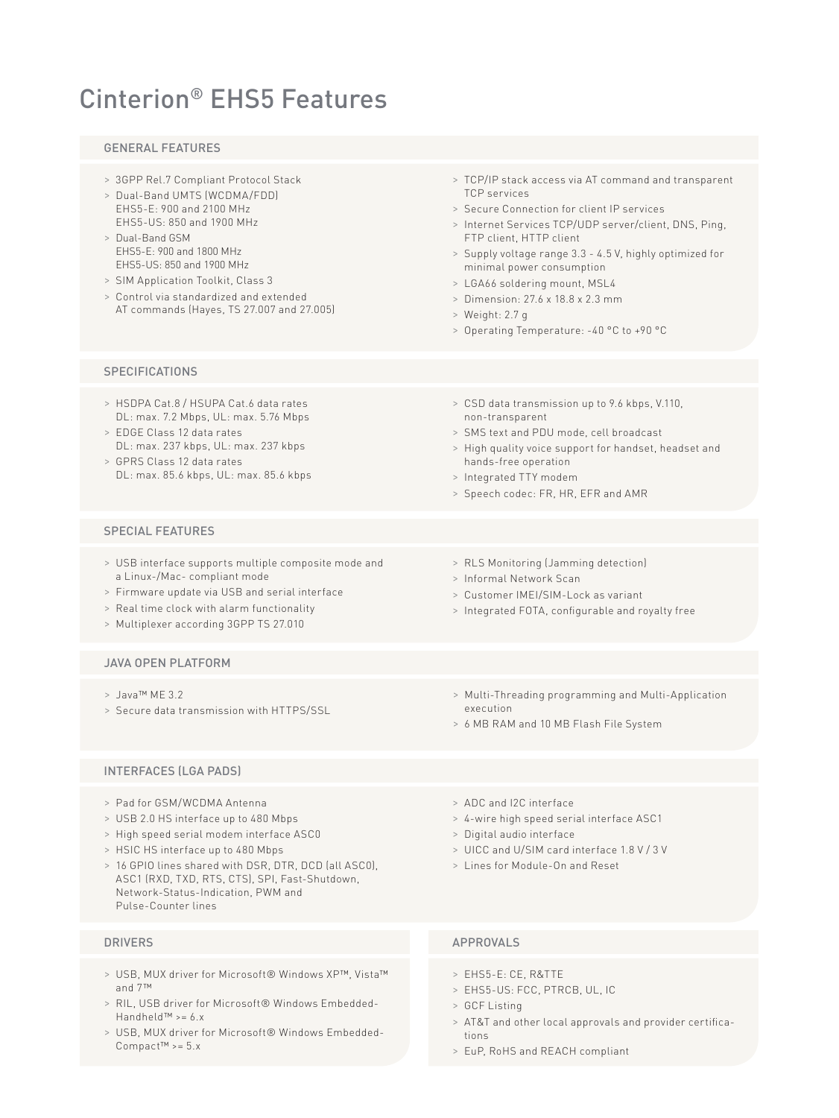### Cinterion® EHS5 Features

### GENERAL FEATURES

- > 3GPP Rel.7 Compliant Protocol Stack
- > Dual-Band UMTS (WCDMA/FDD) EHS5-E: 900 and 2100 MHz EHS5-US: 850 and 1900 MHz
- > Dual-Band GSM EHS5-E: 900 and 1800 MHz EHS5-US: 850 and 1900 MHz
- > SIM Application Toolkit, Class 3
- > Control via standardized and extended AT commands (Hayes, TS 27.007 and 27.005)
- > TCP/IP stack access via AT command and transparent TCP services
- > Secure Connection for client IP services
- > Internet Services TCP/UDP server/client, DNS, Ping, FTP client, HTTP client
- > Supply voltage range 3.3 4.5 V, highly optimized for minimal power consumption
- > LGA66 soldering mount, MSL4
- > Dimension: 27.6 x 18.8 x 2.3 mm
- > Weight: 2.7 g

non-transparent

hands-free operation > Integrated TTY modem

> Operating Temperature: -40 °C to +90 °C

> CSD data transmission up to 9.6 kbps, V.110,

> High quality voice support for handset, headset and

> SMS text and PDU mode, cell broadcast

### **SPECIFICATIONS**

- > HSDPA Cat.8 / HSUPA Cat.6 data rates DL: max. 7.2 Mbps, UL: max. 5.76 Mbps
- > EDGE Class 12 data rates DL: max. 237 kbps, UL: max. 237 kbps
- > GPRS Class 12 data rates DL: max. 85.6 kbps, UL: max. 85.6 kbps

### SPECIAL FEATURES

- > USB interface supports multiple composite mode and a Linux-/Mac- compliant mode
- > Firmware update via USB and serial interface
- > Real time clock with alarm functionality
- > Multiplexer according 3GPP TS 27.010

### JAVA OPEN PLATFORM

- > Java™ ME 3.2
- > Secure data transmission with HTTPS/SSL
- INTERFACES (LGA PADS)
- > Pad for GSM/WCDMA Antenna
- > USB 2.0 HS interface up to 480 Mbps
- > High speed serial modem interface ASC0
- > HSIC HS interface up to 480 Mbps
- > 16 GPIO lines shared with DSR, DTR, DCD (all ASC0), ASC1 (RXD, TXD, RTS, CTS), SPI, Fast-Shutdown, Network-Status-Indication, PWM and Pulse-Counter lines

- > USB, MUX driver for Microsoft® Windows XP™, Vista™ and 7™
- > RIL, USB driver for Microsoft® Windows Embedded-Handheld™ >= 6.x
- > USB, MUX driver for Microsoft® Windows Embedded-Compact™ >= 5.x
- > ADC and I2C interface
- > 4-wire high speed serial interface ASC1
- > Digital audio interface
- > UICC and U/SIM card interface 1.8 V / 3 V
- 

### DRIVERS APPROVALS

- > EHS5-E: CE, R&TTE
- > EHS5-US: FCC, PTRCB, UL, IC
- > GCF Listing
- > AT&T and other local approvals and provider certifications
- > EuP, RoHS and REACH compliant

> RLS Monitoring (Jamming detection) > Informal Network Scan

> Speech codec: FR, HR, EFR and AMR

- 
- > Customer IMEI/SIM-Lock as variant
- > Integrated FOTA, configurable and royalty free
- > Multi-Threading programming and Multi-Application execution
- > 6 MB RAM and 10 MB Flash File System
- -
	-
	- > Lines for Module-On and Reset